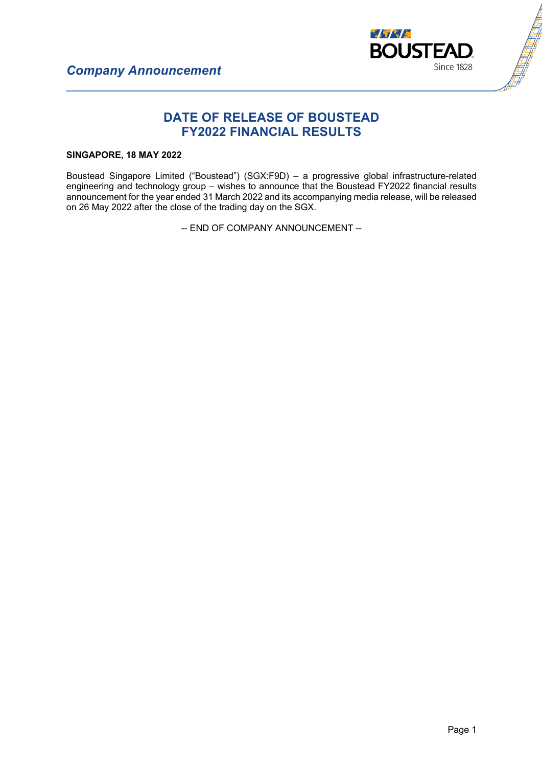

## **DATE OF RELEASE OF BOUSTEAD FY2022 FINANCIAL RESULTS**

## **SINGAPORE, 18 MAY 2022**

Boustead Singapore Limited ("Boustead") (SGX:F9D) – a progressive global infrastructure-related engineering and technology group – wishes to announce that the Boustead FY2022 financial results announcement for the year ended 31 March 2022 and its accompanying media release, will be released on 26 May 2022 after the close of the trading day on the SGX.

-- END OF COMPANY ANNOUNCEMENT --